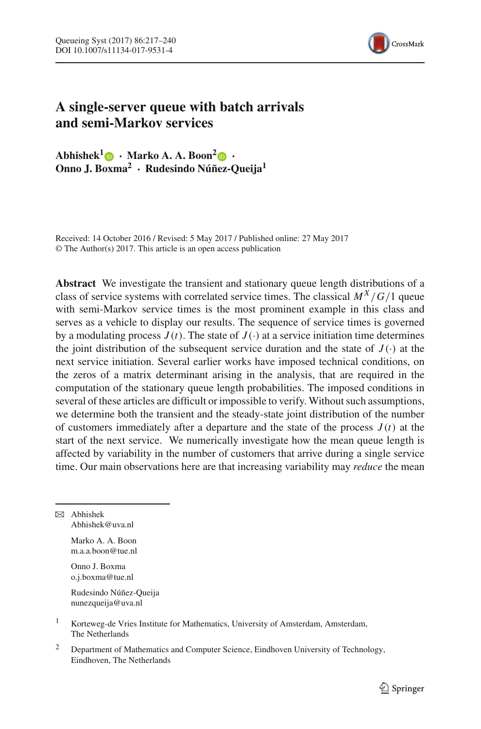

# **A single-server queue with batch arrivals and semi-Markov services**

 $\bf A$ bhishek<sup>[1](http://orcid.org/0000-0001-5661-8959)</sup> $\bf \odot$  · Marko A. A. Boon<sup>2</sup> $\bf \odot$  · **Onno J. Boxma2 · Rudesindo Núñez-Queija1**

Received: 14 October 2016 / Revised: 5 May 2017 / Published online: 27 May 2017 © The Author(s) 2017. This article is an open access publication

**Abstract** We investigate the transient and stationary queue length distributions of a class of service systems with correlated service times. The classical  $M^X/G/1$  queue with semi-Markov service times is the most prominent example in this class and serves as a vehicle to display our results. The sequence of service times is governed by a modulating process  $J(t)$ . The state of  $J(\cdot)$  at a service initiation time determines the joint distribution of the subsequent service duration and the state of  $J(\cdot)$  at the next service initiation. Several earlier works have imposed technical conditions, on the zeros of a matrix determinant arising in the analysis, that are required in the computation of the stationary queue length probabilities. The imposed conditions in several of these articles are difficult or impossible to verify. Without such assumptions, we determine both the transient and the steady-state joint distribution of the number of customers immediately after a departure and the state of the process  $J(t)$  at the start of the next service. We numerically investigate how the mean queue length is affected by variability in the number of customers that arrive during a single service time. Our main observations here are that increasing variability may *reduce* the mean

 $\boxtimes$  Abhishek Abhishek@uva.nl

> Marko A. A. Boon m.a.a.boon@tue.nl

Onno J. Boxma o.j.boxma@tue.nl

Rudesindo Núñez-Queija nunezqueija@uva.nl

- <sup>1</sup> Korteweg-de Vries Institute for Mathematics, University of Amsterdam, Amsterdam, The Netherlands
- <sup>2</sup> Department of Mathematics and Computer Science, Eindhoven University of Technology, Eindhoven, The Netherlands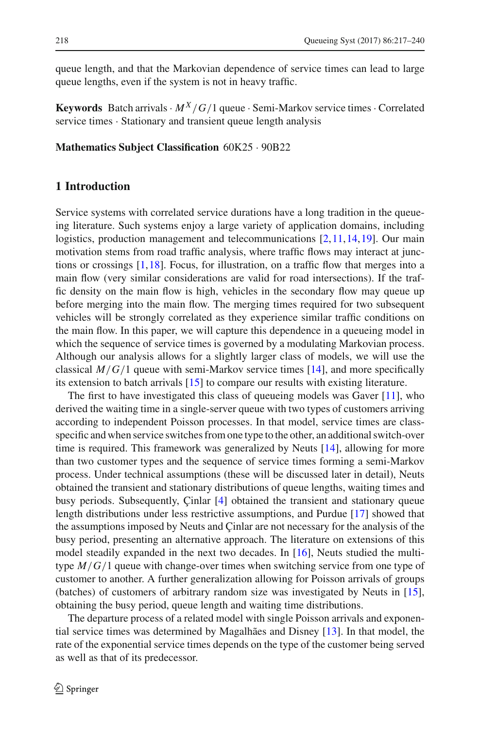queue length, and that the Markovian dependence of service times can lead to large queue lengths, even if the system is not in heavy traffic.

**Keywords** Batch arrivals  $\cdot$   $M^X/G/1$  queue  $\cdot$  Semi-Markov service times  $\cdot$  Correlated service times  $\cdot$  Stationary and transient queue length analysis

#### **Mathematics Subject Classification** 60K25 · 90B22

# **1 Introduction**

Service systems with correlated service durations have a long tradition in the queueing literature. Such systems enjoy a large variety of application domains, including logistics, production management and telecommunications [\[2](#page-23-0),[11,](#page-23-1)[14](#page-23-2)[,19](#page-23-3)]. Our main motivation stems from road traffic analysis, where traffic flows may interact at junctions or crossings  $[1,18]$  $[1,18]$  $[1,18]$ . Focus, for illustration, on a traffic flow that merges into a main flow (very similar considerations are valid for road intersections). If the traffic density on the main flow is high, vehicles in the secondary flow may queue up before merging into the main flow. The merging times required for two subsequent vehicles will be strongly correlated as they experience similar traffic conditions on the main flow. In this paper, we will capture this dependence in a queueing model in which the sequence of service times is governed by a modulating Markovian process. Although our analysis allows for a slightly larger class of models, we will use the classical  $M/G/1$  queue with semi-Markov service times [\[14\]](#page-23-2), and more specifically its extension to batch arrivals [\[15\]](#page-23-6) to compare our results with existing literature.

The first to have investigated this class of queueing models was Gaver [\[11](#page-23-1)], who derived the waiting time in a single-server queue with two types of customers arriving according to independent Poisson processes. In that model, service times are classspecific and when service switches from one type to the other, an additional switch-over time is required. This framework was generalized by Neuts [\[14\]](#page-23-2), allowing for more than two customer types and the sequence of service times forming a semi-Markov process. Under technical assumptions (these will be discussed later in detail), Neuts obtained the transient and stationary distributions of queue lengths, waiting times and busy periods. Subsequently, Çinlar [\[4\]](#page-23-7) obtained the transient and stationary queue length distributions under less restrictive assumptions, and Purdue [\[17\]](#page-23-8) showed that the assumptions imposed by Neuts and Çinlar are not necessary for the analysis of the busy period, presenting an alternative approach. The literature on extensions of this model steadily expanded in the next two decades. In [\[16\]](#page-23-9), Neuts studied the multitype *M*/*G*/1 queue with change-over times when switching service from one type of customer to another. A further generalization allowing for Poisson arrivals of groups (batches) of customers of arbitrary random size was investigated by Neuts in [\[15](#page-23-6)], obtaining the busy period, queue length and waiting time distributions.

The departure process of a related model with single Poisson arrivals and exponential service times was determined by Magalhães and Disney [\[13](#page-23-10)]. In that model, the rate of the exponential service times depends on the type of the customer being served as well as that of its predecessor.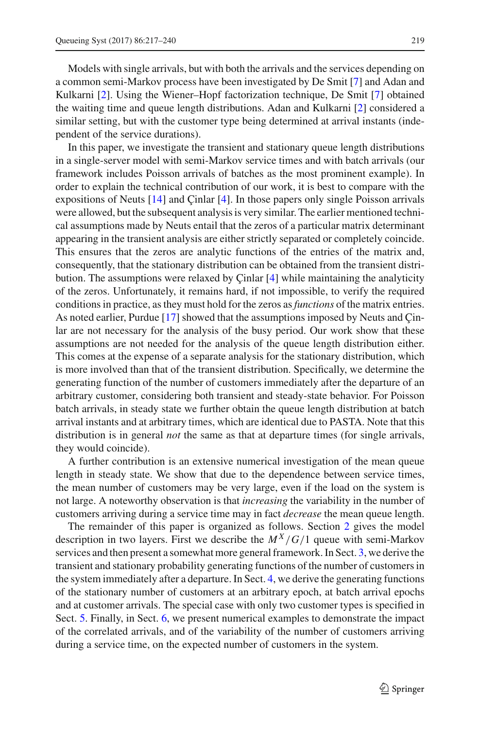Models with single arrivals, but with both the arrivals and the services depending on a common semi-Markov process have been investigated by De Smit [\[7](#page-23-11)] and Adan and Kulkarni [\[2](#page-23-0)]. Using the Wiener–Hopf factorization technique, De Smit [\[7](#page-23-11)] obtained the waiting time and queue length distributions. Adan and Kulkarni [\[2\]](#page-23-0) considered a similar setting, but with the customer type being determined at arrival instants (independent of the service durations).

In this paper, we investigate the transient and stationary queue length distributions in a single-server model with semi-Markov service times and with batch arrivals (our framework includes Poisson arrivals of batches as the most prominent example). In order to explain the technical contribution of our work, it is best to compare with the expositions of Neuts [\[14](#page-23-2)] and Çinlar [\[4](#page-23-7)]. In those papers only single Poisson arrivals were allowed, but the subsequent analysis is very similar. The earlier mentioned technical assumptions made by Neuts entail that the zeros of a particular matrix determinant appearing in the transient analysis are either strictly separated or completely coincide. This ensures that the zeros are analytic functions of the entries of the matrix and, consequently, that the stationary distribution can be obtained from the transient distribution. The assumptions were relaxed by Çinlar [\[4](#page-23-7)] while maintaining the analyticity of the zeros. Unfortunately, it remains hard, if not impossible, to verify the required conditions in practice, as they must hold for the zeros as*functions* of the matrix entries. As noted earlier, Purdue [\[17](#page-23-8)] showed that the assumptions imposed by Neuts and Çinlar are not necessary for the analysis of the busy period. Our work show that these assumptions are not needed for the analysis of the queue length distribution either. This comes at the expense of a separate analysis for the stationary distribution, which is more involved than that of the transient distribution. Specifically, we determine the generating function of the number of customers immediately after the departure of an arbitrary customer, considering both transient and steady-state behavior. For Poisson batch arrivals, in steady state we further obtain the queue length distribution at batch arrival instants and at arbitrary times, which are identical due to PASTA. Note that this distribution is in general *not* the same as that at departure times (for single arrivals, they would coincide).

A further contribution is an extensive numerical investigation of the mean queue length in steady state. We show that due to the dependence between service times, the mean number of customers may be very large, even if the load on the system is not large. A noteworthy observation is that *increasing* the variability in the number of customers arriving during a service time may in fact *decrease* the mean queue length.

The remainder of this paper is organized as follows. Section [2](#page-3-0) gives the model description in two layers. First we describe the  $M^X/G/1$  queue with semi-Markov services and then present a somewhat more general framework. In Sect. [3,](#page-5-0) we derive the transient and stationary probability generating functions of the number of customers in the system immediately after a departure. In Sect. [4,](#page-13-0) we derive the generating functions of the stationary number of customers at an arbitrary epoch, at batch arrival epochs and at customer arrivals. The special case with only two customer types is specified in Sect. [5.](#page-14-0) Finally, in Sect. [6,](#page-17-0) we present numerical examples to demonstrate the impact of the correlated arrivals, and of the variability of the number of customers arriving during a service time, on the expected number of customers in the system.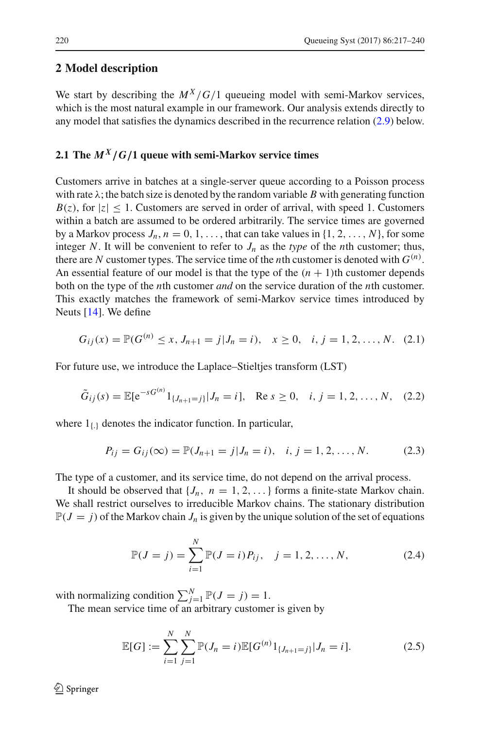# <span id="page-3-0"></span>**2 Model description**

We start by describing the  $M^X/G/1$  queueing model with semi-Markov services, which is the most natural example in our framework. Our analysis extends directly to any model that satisfies the dynamics described in the recurrence relation [\(2.9\)](#page-4-0) below.

# **2.1 The** *MX/G/***1 queue with semi-Markov service times**

Customers arrive in batches at a single-server queue according to a Poisson process with rate  $\lambda$ ; the batch size is denoted by the random variable *B* with generating function  $B(z)$ , for  $|z| \leq 1$ . Customers are served in order of arrival, with speed 1. Customers within a batch are assumed to be ordered arbitrarily. The service times are governed by a Markov process  $J_n$ ,  $n = 0, 1, \ldots$ , that can take values in  $\{1, 2, \ldots, N\}$ , for some integer *N*. It will be convenient to refer to  $J_n$  as the *type* of the *n*th customer; thus, there are *N* customer types. The service time of the *n*th customer is denoted with  $G^{(n)}$ . An essential feature of our model is that the type of the  $(n + 1)$ th customer depends both on the type of the *n*th customer *and* on the service duration of the *n*th customer. This exactly matches the framework of semi-Markov service times introduced by Neuts [\[14\]](#page-23-2). We define

$$
G_{ij}(x) = \mathbb{P}(G^{(n)} \le x, J_{n+1} = j | J_n = i), \quad x \ge 0, \quad i, j = 1, 2, ..., N. \quad (2.1)
$$

For future use, we introduce the Laplace–Stieltjes transform (LST)

$$
\tilde{G}_{ij}(s) = \mathbb{E}[e^{-sG^{(n)}}1_{\{J_{n+1}=j\}}|J_n=i], \quad \text{Re } s \ge 0, \quad i, j = 1, 2, \dots, N, \quad (2.2)
$$

where  $1_{\{.\}}$  denotes the indicator function. In particular,

$$
P_{ij} = G_{ij}(\infty) = \mathbb{P}(J_{n+1} = j | J_n = i), \quad i, j = 1, 2, ..., N.
$$
 (2.3)

The type of a customer, and its service time, do not depend on the arrival process.

It should be observed that  $\{J_n, n = 1, 2, ...\}$  forms a finite-state Markov chain. We shall restrict ourselves to irreducible Markov chains. The stationary distribution  $\mathbb{P}(J = j)$  of the Markov chain  $J_n$  is given by the unique solution of the set of equations

$$
\mathbb{P}(J = j) = \sum_{i=1}^{N} \mathbb{P}(J = i) P_{ij}, \quad j = 1, 2, ..., N,
$$
\n(2.4)

with normalizing condition  $\sum_{j=1}^{N} \mathbb{P}(J = j) = 1$ .

The mean service time of an arbitrary customer is given by

$$
\mathbb{E}[G] := \sum_{i=1}^{N} \sum_{j=1}^{N} \mathbb{P}(J_n = i) \mathbb{E}[G^{(n)}1_{\{J_{n+1} = j\}} | J_n = i]. \tag{2.5}
$$

 $\textcircled{2}$  Springer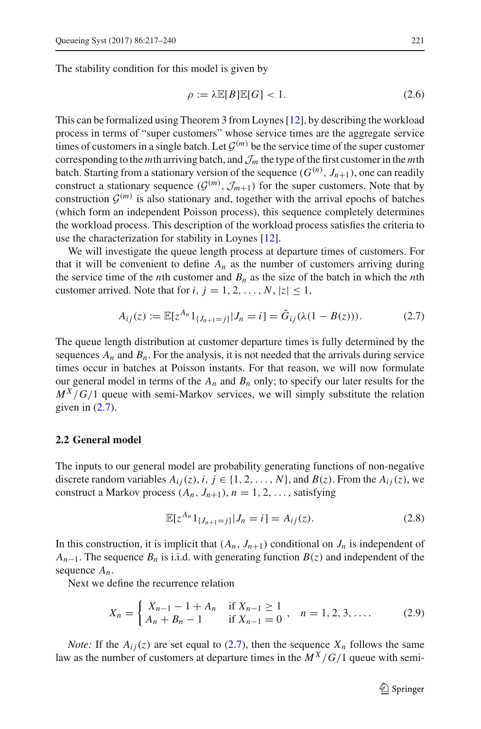The stability condition for this model is given by

$$
\rho := \lambda \mathbb{E}[B]\mathbb{E}[G] < 1. \tag{2.6}
$$

This can be formalized using Theorem 3 from Loynes [\[12](#page-23-12)], by describing the workload process in terms of "super customers" whose service times are the aggregate service times of customers in a single batch. Let  $\mathcal{G}^{(m)}$  be the service time of the super customer corresponding to the *m*th arriving batch, and*J<sup>m</sup>* the type of the first customer in the *m*th batch. Starting from a stationary version of the sequence  $(G^{(n)}, J_{n+1})$ , one can readily construct a stationary sequence  $(G^{(m)}, \mathcal{J}_{m+1})$  for the super customers. Note that by construction  $\mathcal{G}^{(m)}$  is also stationary and, together with the arrival epochs of batches (which form an independent Poisson process), this sequence completely determines the workload process. This description of the workload process satisfies the criteria to use the characterization for stability in Loynes [\[12](#page-23-12)].

We will investigate the queue length process at departure times of customers. For that it will be convenient to define  $A_n$  as the number of customers arriving during the service time of the *n*th customer and  $B_n$  as the size of the batch in which the *n*th customer arrived. Note that for  $i, j = 1, 2, \ldots, N, |z| \leq 1$ ,

<span id="page-4-1"></span>
$$
A_{ij}(z) := \mathbb{E}[z^{A_n}1_{\{J_{n+1}=j\}}|J_n=i] = \tilde{G}_{ij}(\lambda(1-B(z))).
$$
 (2.7)

The queue length distribution at customer departure times is fully determined by the sequences  $A_n$  and  $B_n$ . For the analysis, it is not needed that the arrivals during service times occur in batches at Poisson instants. For that reason, we will now formulate our general model in terms of the  $A_n$  and  $B_n$  only; to specify our later results for the  $M^X/G/1$  queue with semi-Markov services, we will simply substitute the relation given in  $(2.7)$ .

## **2.2 General model**

The inputs to our general model are probability generating functions of non-negative discrete random variables  $A_{ij}(z)$ ,  $i, j \in \{1, 2, ..., N\}$ , and  $B(z)$ . From the  $A_{ij}(z)$ , we construct a Markov process  $(A_n, J_{n+1}), n = 1, 2, \ldots$ , satisfying

<span id="page-4-2"></span><span id="page-4-0"></span>
$$
\mathbb{E}[z^{A_n}1_{\{J_{n+1}=j\}}|J_n=i] = A_{ij}(z). \tag{2.8}
$$

In this construction, it is implicit that  $(A_n, J_{n+1})$  conditional on  $J_n$  is independent of  $A_{n-1}$ . The sequence  $B_n$  is i.i.d. with generating function  $B(z)$  and independent of the sequence *An*.

Next we define the recurrence relation

$$
X_n = \begin{cases} X_{n-1} - 1 + A_n & \text{if } X_{n-1} \ge 1 \\ A_n + B_n - 1 & \text{if } X_{n-1} = 0 \end{cases}, \quad n = 1, 2, 3, .... \tag{2.9}
$$

*Note:* If the  $A_{ij}(z)$  are set equal to [\(2.7\)](#page-4-1), then the sequence  $X_n$  follows the same law as the number of customers at departure times in the  $M^X/G/1$  queue with semi-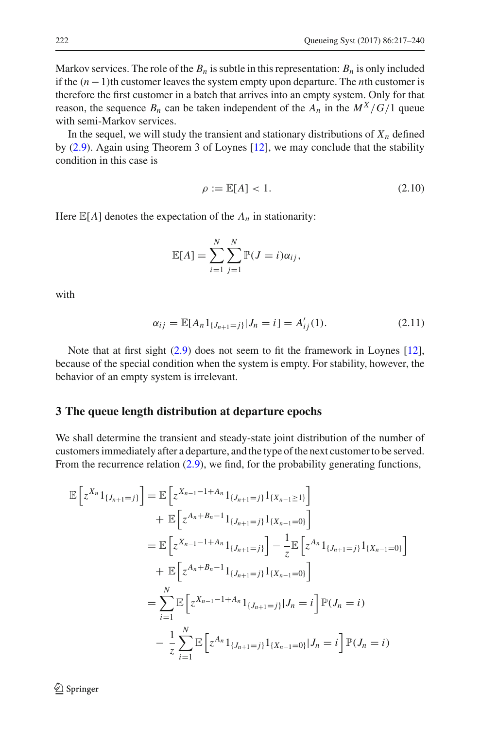Markov services. The role of the  $B_n$  is subtle in this representation:  $B_n$  is only included if the (*n* −1)th customer leaves the system empty upon departure. The *n*th customer is therefore the first customer in a batch that arrives into an empty system. Only for that reason, the sequence  $B_n$  can be taken independent of the  $A_n$  in the  $M^X/G/1$  queue with semi-Markov services.

In the sequel, we will study the transient and stationary distributions of  $X_n$  defined by [\(2.9\)](#page-4-0). Again using Theorem 3 of Loynes [\[12\]](#page-23-12), we may conclude that the stability condition in this case is

<span id="page-5-2"></span><span id="page-5-1"></span>
$$
\rho := \mathbb{E}[A] < 1. \tag{2.10}
$$

Here  $\mathbb{E}[A]$  denotes the expectation of the  $A_n$  in stationarity:

$$
\mathbb{E}[A] = \sum_{i=1}^N \sum_{j=1}^N \mathbb{P}(J = i)\alpha_{ij},
$$

with

$$
\alpha_{ij} = \mathbb{E}[A_n 1_{\{J_{n+1}=j\}} | J_n = i] = A'_{ij}(1). \tag{2.11}
$$

Note that at first sight [\(2.9\)](#page-4-0) does not seem to fit the framework in Loynes [\[12](#page-23-12)], because of the special condition when the system is empty. For stability, however, the behavior of an empty system is irrelevant.

#### <span id="page-5-0"></span>**3 The queue length distribution at departure epochs**

We shall determine the transient and steady-state joint distribution of the number of customers immediately after a departure, and the type of the next customer to be served. From the recurrence relation [\(2.9\)](#page-4-0), we find, for the probability generating functions,

$$
\mathbb{E}\left[z^{X_n}1_{\{J_{n+1}=j\}}\right] = \mathbb{E}\left[z^{X_{n-1}-1+A_n}1_{\{J_{n+1}=j\}}1_{\{X_{n-1}\geq 1\}}\right] \n+ \mathbb{E}\left[z^{A_n+B_n-1}1_{\{J_{n+1}=j\}}1_{\{X_{n-1}=0\}}\right] \n= \mathbb{E}\left[z^{X_{n-1}-1+A_n}1_{\{J_{n+1}=j\}}\right] - \frac{1}{z}\mathbb{E}\left[z^{A_n}1_{\{J_{n+1}=j\}}1_{\{X_{n-1}=0\}}\right] \n+ \mathbb{E}\left[z^{A_n+B_n-1}1_{\{J_{n+1}=j\}}1_{\{X_{n-1}=0\}}\right] \n= \sum_{i=1}^N \mathbb{E}\left[z^{X_{n-1}-1+A_n}1_{\{J_{n+1}=j\}}|J_n=i\right] \mathbb{P}(J_n=i) \n- \frac{1}{z}\sum_{i=1}^N \mathbb{E}\left[z^{A_n}1_{\{J_{n+1}=j\}}1_{\{X_{n-1}=0\}}|J_n=i\right] \mathbb{P}(J_n=i)
$$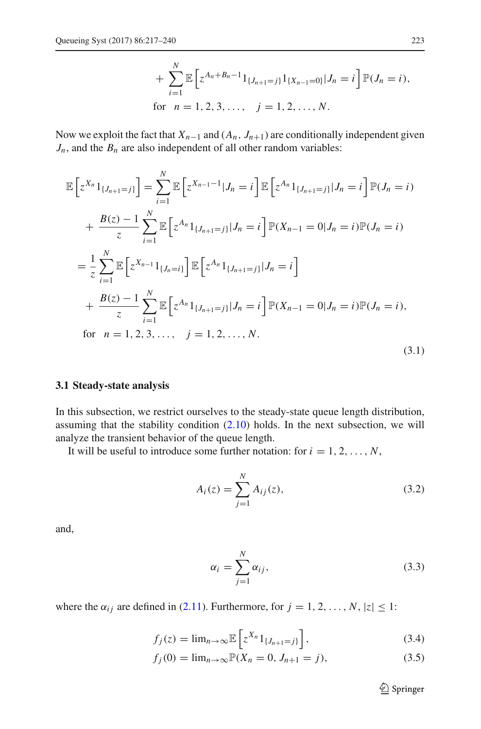+ 
$$
\sum_{i=1}^{N} \mathbb{E} \left[ z^{A_n + B_n - 1} 1_{\{J_{n+1} = j\}} 1_{\{X_{n-1} = 0\}} | J_n = i \right] \mathbb{P}(J_n = i),
$$
  
for  $n = 1, 2, 3, ..., j = 1, 2, ..., N.$ 

Now we exploit the fact that  $X_{n-1}$  and  $(A_n, J_{n+1})$  are conditionally independent given  $J_n$ , and the  $B_n$  are also independent of all other random variables:

$$
\mathbb{E}\left[z^{X_n}1_{\{J_{n+1}=j\}}\right] = \sum_{i=1}^N \mathbb{E}\left[z^{X_{n-1}-1}|J_n=i\right] \mathbb{E}\left[z^{A_n}1_{\{J_{n+1}=j\}}|J_n=i\right] \mathbb{P}(J_n=i)
$$
  
+  $\frac{B(z)-1}{z} \sum_{i=1}^N \mathbb{E}\left[z^{A_n}1_{\{J_{n+1}=j\}}|J_n=i\right] \mathbb{P}(X_{n-1}=0|J_n=i) \mathbb{P}(J_n=i)$   
=  $\frac{1}{z} \sum_{i=1}^N \mathbb{E}\left[z^{X_{n-1}}1_{\{J_{n}=i\}}\right] \mathbb{E}\left[z^{A_n}1_{\{J_{n+1}=j\}}|J_n=i\right]$   
+  $\frac{B(z)-1}{z} \sum_{i=1}^N \mathbb{E}\left[z^{A_n}1_{\{J_{n+1}=j\}}|J_n=i\right] \mathbb{P}(X_{n-1}=0|J_n=i) \mathbb{P}(J_n=i),$   
for  $n=1,2,3,..., j=1,2,..., N.$  (3.1)

## **3.1 Steady-state analysis**

In this subsection, we restrict ourselves to the steady-state queue length distribution, assuming that the stability condition [\(2.10\)](#page-5-1) holds. In the next subsection, we will analyze the transient behavior of the queue length.

It will be useful to introduce some further notation: for  $i = 1, 2, \ldots, N$ ,

<span id="page-6-0"></span>
$$
A_i(z) = \sum_{j=1}^{N} A_{ij}(z),
$$
\n(3.2)

and,

$$
\alpha_i = \sum_{j=1}^N \alpha_{ij},\tag{3.3}
$$

where the  $\alpha_{ij}$  are defined in [\(2.11\)](#page-5-2). Furthermore, for  $j = 1, 2, ..., N$ ,  $|z| \leq 1$ :

$$
f_j(z) = \lim_{n \to \infty} \mathbb{E}\left[z^{X_n} 1_{\{J_{n+1} = j\}}\right],\tag{3.4}
$$

$$
f_j(0) = \lim_{n \to \infty} \mathbb{P}(X_n = 0, J_{n+1} = j),
$$
\n(3.5)

<span id="page-6-1"></span><sup>2</sup> Springer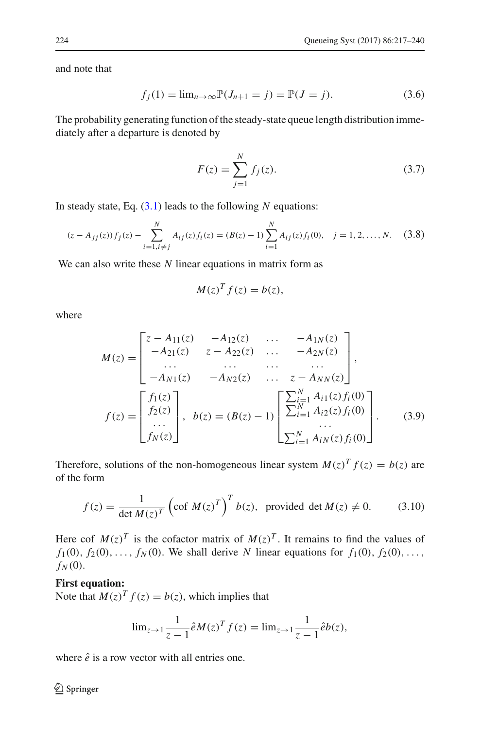and note that

$$
f_j(1) = \lim_{n \to \infty} \mathbb{P}(J_{n+1} = j) = \mathbb{P}(J = j).
$$
 (3.6)

The probability generating function of the steady-state queue length distribution immediately after a departure is denoted by

<span id="page-7-2"></span>
$$
F(z) = \sum_{j=1}^{N} f_j(z).
$$
 (3.7)

In steady state, Eq. [\(3.1\)](#page-6-0) leads to the following *N* equations:

$$
(z - A_{jj}(z))f_j(z) - \sum_{i=1, i \neq j}^{N} A_{ij}(z)f_i(z) = (B(z) - 1)\sum_{i=1}^{N} A_{ij}(z)f_i(0), \quad j = 1, 2, ..., N. \tag{3.8}
$$

We can also write these *N* linear equations in matrix form as

<span id="page-7-1"></span><span id="page-7-0"></span>
$$
M(z)^T f(z) = b(z),
$$

where

$$
M(z) = \begin{bmatrix} z - A_{11}(z) & -A_{12}(z) & \dots & -A_{1N}(z) \\ -A_{21}(z) & z - A_{22}(z) & \dots & -A_{2N}(z) \\ \dots & \dots & \dots & \dots \\ -A_{N1}(z) & -A_{N2}(z) & \dots & z - A_{NN}(z) \end{bmatrix},
$$
  

$$
f(z) = \begin{bmatrix} f_1(z) \\ f_2(z) \\ \dots \\ f_N(z) \end{bmatrix}, \quad b(z) = (B(z) - 1) \begin{bmatrix} \sum_{i=1}^{N} A_{i1}(z) f_i(0) \\ \sum_{i=1}^{N} A_{i2}(z) f_i(0) \\ \dots \\ \sum_{i=1}^{N} A_{iN}(z) f_i(0) \end{bmatrix}.
$$
 (3.9)

Therefore, solutions of the non-homogeneous linear system  $M(z)^T f(z) = b(z)$  are of the form

$$
f(z) = \frac{1}{\det M(z)^T} \left( \text{cof } M(z)^T \right)^T b(z), \text{ provided } \det M(z) \neq 0. \tag{3.10}
$$

Here cof  $M(z)^T$  is the cofactor matrix of  $M(z)^T$ . It remains to find the values of  $f_1(0), f_2(0), \ldots, f_N(0)$ . We shall derive *N* linear equations for  $f_1(0), f_2(0), \ldots$  $f_N(0)$ .

## **First equation:**

Note that  $M(z)^T f(z) = b(z)$ , which implies that

$$
\lim_{z \to 1} \frac{1}{z - 1} \hat{e} M(z)^T f(z) = \lim_{z \to 1} \frac{1}{z - 1} \hat{e} b(z),
$$

where  $\hat{e}$  is a row vector with all entries one.

<sup>2</sup> Springer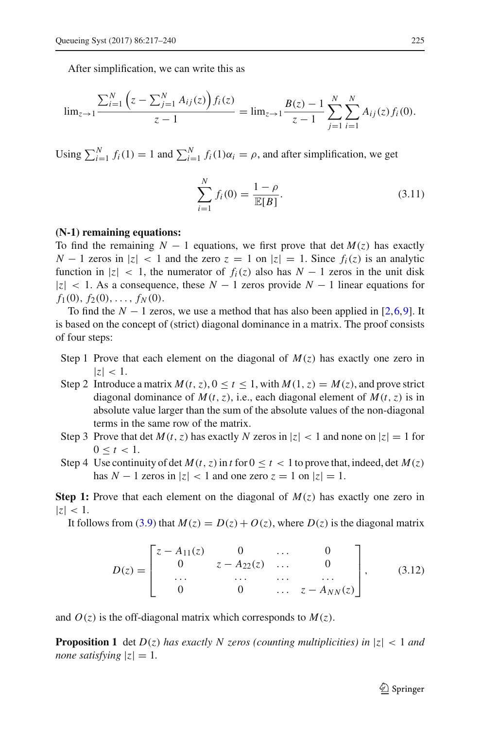After simplification, we can write this as

$$
\lim_{z \to 1} \frac{\sum_{i=1}^{N} \left(z - \sum_{j=1}^{N} A_{ij}(z)\right) f_i(z)}{z - 1} = \lim_{z \to 1} \frac{B(z) - 1}{z - 1} \sum_{j=1}^{N} \sum_{i=1}^{N} A_{ij}(z) f_i(0).
$$

Using  $\sum_{i=1}^{N} f_i(1) = 1$  and  $\sum_{i=1}^{N} f_i(1)\alpha_i = \rho$ , and after simplification, we get

$$
\sum_{i=1}^{N} f_i(0) = \frac{1-\rho}{\mathbb{E}[B]}.
$$
\n(3.11)

#### **(N-1) remaining equations:**

To find the remaining  $N-1$  equations, we first prove that det  $M(z)$  has exactly *N* − 1 zeros in  $|z|$  < 1 and the zero  $z = 1$  on  $|z| = 1$ . Since  $f_i(z)$  is an analytic function in  $|z| < 1$ , the numerator of  $f_i(z)$  also has  $N-1$  zeros in the unit disk |*z*| < 1. As a consequence, these *N* − 1 zeros provide *N* − 1 linear equations for  $f_1(0), f_2(0), \ldots, f_N(0).$ 

To find the  $N-1$  zeros, we use a method that has also been applied in [\[2](#page-23-0)[,6](#page-23-13),[9\]](#page-23-14). It is based on the concept of (strict) diagonal dominance in a matrix. The proof consists of four steps:

- Step 1 Prove that each element on the diagonal of  $M(z)$  has exactly one zero in  $|z|$  < 1.
- Step 2 Introduce a matrix  $M(t, z)$ ,  $0 \le t \le 1$ , with  $M(1, z) = M(z)$ , and prove strict diagonal dominance of  $M(t, z)$ , i.e., each diagonal element of  $M(t, z)$  is in absolute value larger than the sum of the absolute values of the non-diagonal terms in the same row of the matrix.
- Step 3 Prove that det  $M(t, z)$  has exactly  $N$  zeros in  $|z| < 1$  and none on  $|z| = 1$  for  $0 \le t \le 1$ .
- Step 4 Use continuity of det  $M(t, z)$  in *t* for  $0 \le t < 1$  to prove that, indeed, det  $M(z)$ has  $N - 1$  zeros in  $|z| < 1$  and one zero  $z = 1$  on  $|z| = 1$ .

**Step 1:** Prove that each element on the diagonal of  $M(z)$  has exactly one zero in  $|z|$  < 1.

It follows from [\(3.9\)](#page-7-0) that  $M(z) = D(z) + O(z)$ , where  $D(z)$  is the diagonal matrix

$$
D(z) = \begin{bmatrix} z - A_{11}(z) & 0 & \dots & 0 \\ 0 & z - A_{22}(z) & \dots & 0 \\ \dots & \dots & \dots & \dots \\ 0 & 0 & \dots & z - A_{NN}(z) \end{bmatrix}, \quad (3.12)
$$

<span id="page-8-0"></span>and  $O(z)$  is the off-diagonal matrix which corresponds to  $M(z)$ .

**Proposition 1** det  $D(z)$  has exactly N zeros (counting multiplicities) in  $|z| < 1$  and *none satisfying*  $|z| = 1$ .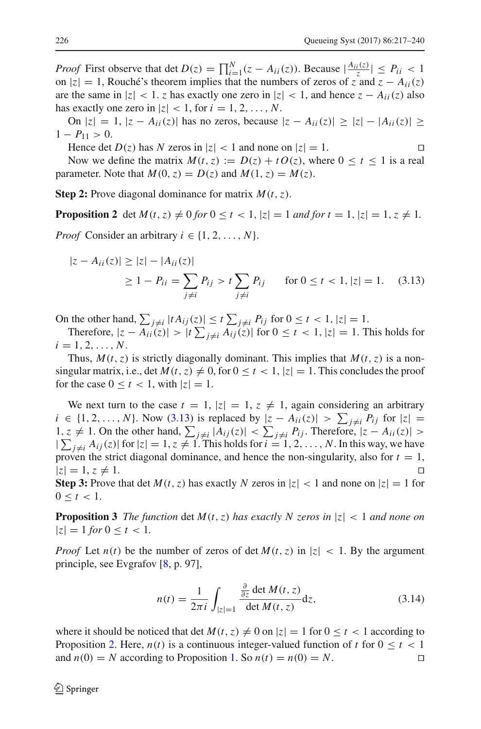*Proof* First observe that det  $D(z) = \prod_{i=1}^{N} (z - A_{ii}(z))$ . Because  $|\frac{A_{ii}(z)}{z}| \leq P_{ii} < 1$ on  $|z| = 1$ , Rouché's theorem implies that the numbers of zeros of  $\overline{z}$  and  $\overline{z} - A_{ii}(z)$ are the same in  $|z| < 1$ . *z* has exactly one zero in  $|z| < 1$ , and hence  $z - A_{ii}(z)$  also has exactly one zero in  $|z| < 1$ , for  $i = 1, 2, ..., N$ .

On  $|z| = 1$ ,  $|z - A_{ii}(z)|$  has no zeros, because  $|z - A_{ii}(z)| \ge |z| - |A_{ii}(z)| \ge$  $1 - P_{11} > 0.$ 

Hence det  $D(z)$  has N zeros in  $|z| < 1$  and none on  $|z| = 1$ .

<span id="page-9-0"></span>

Now we define the matrix  $M(t, z) := D(z) + t O(z)$ , where  $0 \le t \le 1$  is a real parameter. Note that  $M(0, z) = D(z)$  and  $M(1, z) = M(z)$ .

<span id="page-9-1"></span>**Step 2:** Prove diagonal dominance for matrix *M*(*t*,*z*).

**Proposition 2** det  $M(t, z) \neq 0$  for  $0 \leq t < 1$ ,  $|z| = 1$  and for  $t = 1$ ,  $|z| = 1$ ,  $z \neq 1$ . *Proof* Consider an arbitrary  $i \in \{1, 2, ..., N\}$ .

$$
|z - A_{ii}(z)| \ge |z| - |A_{ii}(z)|
$$
  
 
$$
\ge 1 - P_{ii} = \sum_{j \ne i} P_{ij} > t \sum_{j \ne i} P_{ij} \quad \text{for } 0 \le t < 1, |z| = 1. \quad (3.13)
$$

On the other hand,  $\sum_{j \neq i} |t A_{ij}(z)| \le t \sum_{j \neq i} P_{ij}$  for  $0 \le t < 1, |z| = 1$ .

Therefore,  $|z - A_{ii}(z)| > |t| \sum_{j \neq i} A_{ij}(z)|$  for  $0 \leq t < 1$ ,  $|z| = 1$ . This holds for  $i = 1, 2, \ldots, N$ .

Thus,  $M(t, z)$  is strictly diagonally dominant. This implies that  $M(t, z)$  is a nonsingular matrix, i.e., det  $M(t, z) \neq 0$ , for  $0 \leq t < 1$ ,  $|z| = 1$ . This concludes the proof for the case  $0 \le t < 1$ , with  $|z| = 1$ .

We next turn to the case  $t = 1$ ,  $|z| = 1$ ,  $z \neq 1$ , again considering an arbitrary *i* ∈ {1, 2, ..., *N*}. Now [\(3.13\)](#page-9-0) is replaced by  $|z - A_{ii}(z)| > \sum_{j \neq i} P_{ij}$  for  $|z| =$ 1, *z* ≠ 1. On the other hand,  $\sum_{j \neq i} |A_{ij}(z)| < \sum_{j \neq j} P_{ij}$ . Therefore,  $|z - A_{ii}(z)| >$  $|\sum_{j\neq i} A_{ij}(z)|$  for  $|z|=1, z\neq 1$ . This holds for  $i=1, 2, ..., N$ . In this way, we have proven the strict diagonal dominance, and hence the non-singularity, also for  $t = 1$ ,  $|z| = 1, z \neq 1.$ 

<span id="page-9-2"></span>**Step 3:** Prove that det  $M(t, z)$  has exactly  $N$  zeros in  $|z| < 1$  and none on  $|z| = 1$  for  $0 \le t \le 1$ .

**Proposition 3** *The function* det  $M(t, z)$  *has exactly N zeros in*  $|z| < 1$  *and none on*  $|z| = 1$  *for*  $0 \le t < 1$ *.* 

*Proof* Let  $n(t)$  be the number of zeros of det  $M(t, z)$  in  $|z| < 1$ . By the argument principle, see Evgrafov [\[8](#page-23-15), p. 97],

$$
n(t) = \frac{1}{2\pi i} \int_{|z|=1} \frac{\frac{\partial}{\partial z} \det M(t, z)}{\det M(t, z)} dz,
$$
\n(3.14)

where it should be noticed that det  $M(t, z) \neq 0$  on  $|z| = 1$  for  $0 \leq t < 1$  according to Proposition [2.](#page-9-1) Here,  $n(t)$  is a continuous integer-valued function of *t* for  $0 \le t < 1$  and  $n(0) = N$  according to Proposition 1. So  $n(t) = n(0) = N$ . and  $n(0) = N$  according to Proposition [1.](#page-8-0) So  $n(t) = n(0) = N$ .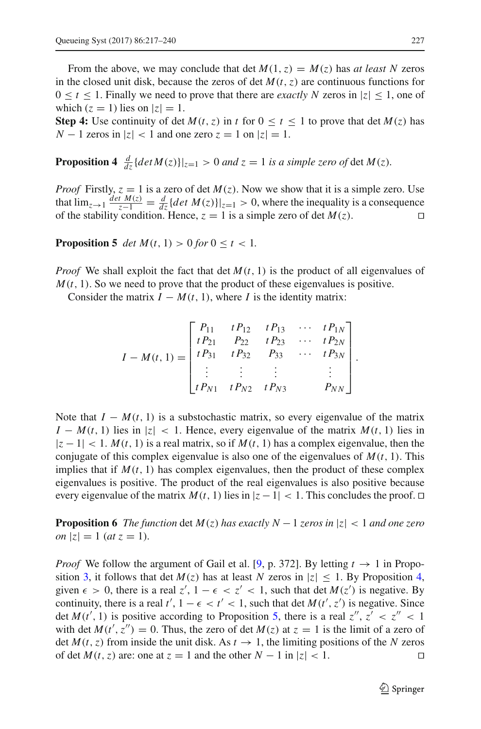From the above, we may conclude that det  $M(1, z) = M(z)$  has *at least N* zeros in the closed unit disk, because the zeros of det  $M(t, z)$  are continuous functions for  $0 \le t \le 1$ . Finally we need to prove that there are *exactly N* zeros in  $|z| \le 1$ , one of which  $(z = 1)$  lies on  $|z| = 1$ .

<span id="page-10-0"></span>**Step 4:** Use continuity of det  $M(t, z)$  in *t* for  $0 \le t \le 1$  to prove that det  $M(z)$  has  $N - 1$  zeros in  $|z| < 1$  and one zero  $z = 1$  on  $|z| = 1$ .

**Proposition 4**  $\frac{d}{dz} \{ det M(z) \} |_{z=1} > 0$  *and*  $z = 1$  *is a simple zero of* det  $M(z)$ *.* 

*Proof* Firstly,  $z = 1$  is a zero of det  $M(z)$ . Now we show that it is a simple zero. Use that  $\lim_{z \to 1} \frac{det M(z)}{z-1} = \frac{d}{dz} \{ det M(z) \}|_{z=1} > 0$ , where the inequality is a consequence of the stability condition. Hence,  $z = 1$  is a simple zero of det  $M(z)$ .

#### <span id="page-10-1"></span>**Proposition 5** *det*  $M(t, 1) > 0$  *for*  $0 \le t < 1$ *.*

*Proof* We shall exploit the fact that det  $M(t, 1)$  is the product of all eigenvalues of  $M(t, 1)$ . So we need to prove that the product of these eigenvalues is positive.

Consider the matrix  $I - M(t, 1)$ , where *I* is the identity matrix:

$$
I - M(t, 1) = \begin{bmatrix} P_{11} & tP_{12} & tP_{13} & \cdots & tP_{1N} \\ tP_{21} & P_{22} & tP_{23} & \cdots & tP_{2N} \\ tP_{31} & tP_{32} & P_{33} & \cdots & tP_{3N} \\ \vdots & \vdots & \vdots & & \vdots \\ tP_{N1} & tP_{N2} & tP_{N3} & P_{NN} \end{bmatrix}.
$$

Note that  $I - M(t, 1)$  is a substochastic matrix, so every eigenvalue of the matrix  $I - M(t, 1)$  lies in  $|z| < 1$ . Hence, every eigenvalue of the matrix  $M(t, 1)$  lies in  $|z - 1| < 1$ . *M*(*t*, 1) is a real matrix, so if *M*(*t*, 1) has a complex eigenvalue, then the conjugate of this complex eigenvalue is also one of the eigenvalues of  $M(t, 1)$ . This implies that if  $M(t, 1)$  has complex eigenvalues, then the product of these complex eigenvalues is positive. The product of the real eigenvalues is also positive because every eigenvalue of the matrix  $M(t, 1)$  lies in  $|z - 1| < 1$ . This concludes the proof.  $\Box$ 

**Proposition 6** *The function* det  $M(z)$  *has exactly*  $N-1$  *zeros in*  $|z| < 1$  *and one zero on*  $|z| = 1$  (*at*  $z = 1$ ).

*Proof* We follow the argument of Gail et al. [\[9](#page-23-14), p. 372]. By letting  $t \rightarrow 1$  in Propo-sition [3,](#page-9-2) it follows that det  $M(z)$  has at least *N* zeros in  $|z| \le 1$ . By Proposition [4,](#page-10-0) given  $\epsilon > 0$ , there is a real  $z'$ ,  $1 - \epsilon < z' < 1$ , such that det  $M(z')$  is negative. By continuity, there is a real  $t'$ ,  $1 - \epsilon < t' < 1$ , such that det  $M(t', z')$  is negative. Since det  $M(t', 1)$  is positive according to Proposition [5,](#page-10-1) there is a real  $z'', z' < z'' < 1$ with det  $M(t', z'') = 0$ . Thus, the zero of det  $M(z)$  at  $z = 1$  is the limit of a zero of det  $M(t, z)$  from inside the unit disk. As  $t \to 1$ , the limiting positions of the N zeros of det  $M(t, z)$  are: one at  $z = 1$  and the other  $N - 1$  in  $|z| < 1$ .  $\Box$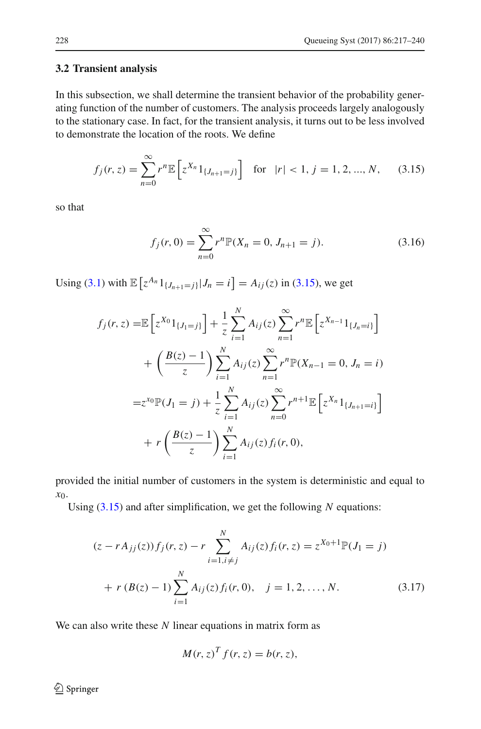## **3.2 Transient analysis**

In this subsection, we shall determine the transient behavior of the probability generating function of the number of customers. The analysis proceeds largely analogously to the stationary case. In fact, for the transient analysis, it turns out to be less involved to demonstrate the location of the roots. We define

<span id="page-11-0"></span>
$$
f_j(r, z) = \sum_{n=0}^{\infty} r^n \mathbb{E} \left[ z^{X_n} 1_{\{J_{n+1} = j\}} \right] \text{ for } |r| < 1, j = 1, 2, ..., N,
$$
 (3.15)

so that

$$
f_j(r,0) = \sum_{n=0}^{\infty} r^n \mathbb{P}(X_n = 0, J_{n+1} = j).
$$
 (3.16)

Using [\(3.1\)](#page-6-0) with  $\mathbb{E}\left[z^{A_n}1_{\{J_{n+1}=j\}}|J_n=i\right] = A_{ij}(z)$  in [\(3.15\)](#page-11-0), we get

$$
f_j(r, z) = \mathbb{E}\left[z^{X_0}1_{\{J_1=j\}}\right] + \frac{1}{z} \sum_{i=1}^N A_{ij}(z) \sum_{n=1}^\infty r^n \mathbb{E}\left[z^{X_{n-1}}1_{\{J_n=i\}}\right]
$$
  
+  $\left(\frac{B(z) - 1}{z}\right) \sum_{i=1}^N A_{ij}(z) \sum_{n=1}^\infty r^n \mathbb{P}(X_{n-1} = 0, J_n = i)$   
=  $z^{X_0} \mathbb{P}(J_1 = j) + \frac{1}{z} \sum_{i=1}^N A_{ij}(z) \sum_{n=0}^\infty r^{n+1} \mathbb{E}\left[z^{X_n}1_{\{J_{n+1}=i\}}\right]$   
+  $r \left(\frac{B(z) - 1}{z}\right) \sum_{i=1}^N A_{ij}(z) f_i(r, 0),$ 

provided the initial number of customers in the system is deterministic and equal to *x*0.

Using [\(3.15\)](#page-11-0) and after simplification, we get the following *N* equations:

$$
(z - rA_{jj}(z))f_j(r, z) - r \sum_{i=1, i \neq j}^{N} A_{ij}(z)f_i(r, z) = z^{X_0 + 1} \mathbb{P}(J_1 = j)
$$
  
+  $r (B(z) - 1) \sum_{i=1}^{N} A_{ij}(z)f_i(r, 0), \quad j = 1, 2, ..., N.$  (3.17)

We can also write these *N* linear equations in matrix form as

<span id="page-11-1"></span>
$$
M(r, z)^T f(r, z) = b(r, z),
$$

<sup>2</sup> Springer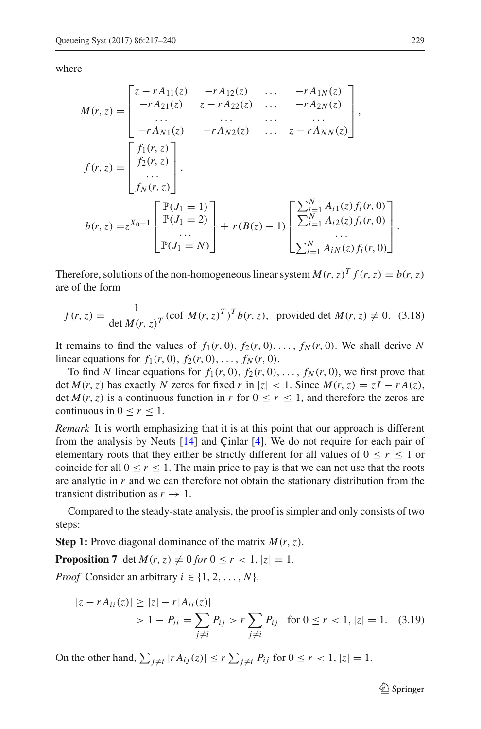where

$$
M(r, z) = \begin{bmatrix} z - rA_{11}(z) & -rA_{12}(z) & \dots & -rA_{1N}(z) \\ -rA_{21}(z) & z - rA_{22}(z) & \dots & -rA_{2N}(z) \\ \dots & \dots & \dots & \dots \\ -rA_{N1}(z) & -rA_{N2}(z) & \dots & z - rA_{NN}(z) \end{bmatrix},
$$
  

$$
f(r, z) = \begin{bmatrix} f_1(r, z) \\ f_2(r, z) \\ \dots \\ f_N(r, z) \end{bmatrix},
$$
  

$$
b(r, z) = z^{X_0+1} \begin{bmatrix} \mathbb{P}(J_1 = 1) \\ \mathbb{P}(J_1 = 2) \\ \dots \\ \mathbb{P}(J_1 = N) \end{bmatrix} + r(B(z) - 1) \begin{bmatrix} \sum_{i=1}^{N} A_{i1}(z) f_i(r, 0) \\ \sum_{i=1}^{N} A_{i2}(z) f_i(r, 0) \\ \dots \\ \sum_{i=1}^{N} A_{iN}(z) f_i(r, 0) \end{bmatrix}.
$$

Therefore, solutions of the non-homogeneous linear system  $M(r, z)^T f(r, z) = b(r, z)$ are of the form

$$
f(r, z) = \frac{1}{\det M(r, z)^T} (\text{cof } M(r, z)^T)^T b(r, z), \text{ provided det } M(r, z) \neq 0. \quad (3.18)
$$

It remains to find the values of  $f_1(r, 0)$ ,  $f_2(r, 0)$ , ...,  $f_N(r, 0)$ . We shall derive *N* linear equations for  $f_1(r, 0), f_2(r, 0), \ldots, f_N(r, 0)$ .

To find *N* linear equations for  $f_1(r, 0)$ ,  $f_2(r, 0)$ , ...,  $f_N(r, 0)$ , we first prove that det  $M(r, z)$  has exactly  $N$  zeros for fixed  $r$  in  $|z| < 1$ . Since  $M(r, z) = zI - rA(z)$ , det  $M(r, z)$  is a continuous function in *r* for  $0 \le r \le 1$ , and therefore the zeros are continuous in  $0 \le r \le 1$ .

*Remark* It is worth emphasizing that it is at this point that our approach is different from the analysis by Neuts [\[14](#page-23-2)] and Çinlar [\[4](#page-23-7)]. We do not require for each pair of elementary roots that they either be strictly different for all values of  $0 \le r \le 1$  or coincide for all  $0 \le r \le 1$ . The main price to pay is that we can not use that the roots are analytic in *r* and we can therefore not obtain the stationary distribution from the transient distribution as  $r \to 1$ .

Compared to the steady-state analysis, the proof is simpler and only consists of two steps:

<span id="page-12-0"></span>**Step 1:** Prove diagonal dominance of the matrix *M*(*r*,*z*).

**Proposition 7** det  $M(r, z) \neq 0$  for  $0 \leq r < 1$ ,  $|z| = 1$ .

*Proof* Consider an arbitrary  $i \in \{1, 2, ..., N\}$ .

$$
|z - rA_{ii}(z)| \ge |z| - r|A_{ii}(z)|
$$
  
> 1 - P<sub>ii</sub> =  $\sum_{j \ne i} P_{ij}$  >  $r \sum_{j \ne i} P_{ij}$  for  $0 \le r < 1, |z| = 1$ . (3.19)

On the other hand,  $\sum_{j \neq i} |r A_{ij}(z)| \leq r \sum_{j \neq i} P_{ij}$  for  $0 \leq r < 1, |z| = 1$ .

<sup>2</sup> Springer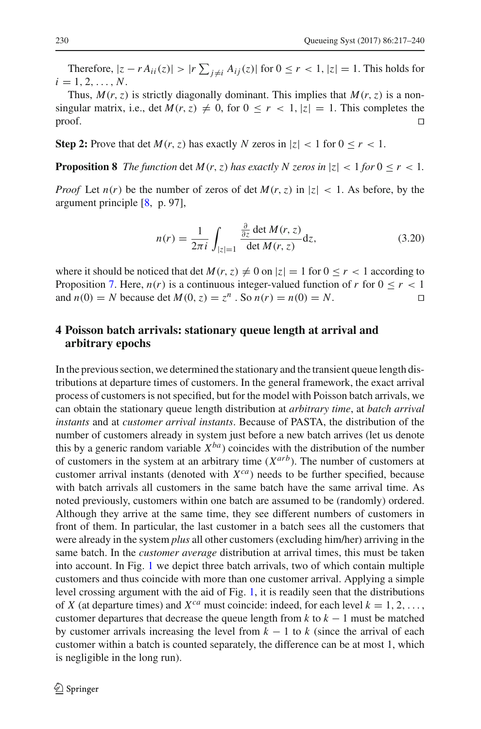Therefore,  $|z - rA_{ii}(z)| > |r \sum_{j \neq i} A_{ij}(z)|$  for  $0 \leq r < 1$ ,  $|z| = 1$ . This holds for  $i = 1, 2, \ldots, N$ .

Thus,  $M(r, z)$  is strictly diagonally dominant. This implies that  $M(r, z)$  is a nonsingular matrix, i.e., det  $M(r, z) \neq 0$ , for  $0 \leq r < 1$ ,  $|z| = 1$ . This completes the proof.  $\Box$ 

**Step 2:** Prove that det  $M(r, z)$  has exactly N zeros in  $|z| < 1$  for  $0 \le r < 1$ .

**Proposition 8** *The function* det  $M(r, z)$  *has exactly N zeros in*  $|z| < 1$  *for*  $0 \le r < 1$ *.* 

*Proof* Let  $n(r)$  be the number of zeros of det  $M(r, z)$  in  $|z| < 1$ . As before, by the argument principle [\[8,](#page-23-15) p. 97],

$$
n(r) = \frac{1}{2\pi i} \int_{|z|=1} \frac{\frac{\partial}{\partial z} \det M(r, z)}{\det M(r, z)} dz,
$$
\n(3.20)

where it should be noticed that det  $M(r, z) \neq 0$  on  $|z| = 1$  for  $0 \leq r < 1$  according to Proposition [7.](#page-12-0) Here,  $n(r)$  is a continuous integer-valued function of r for  $0 \le r < 1$ and  $n(0) = N$  because det  $M(0, z) = z^n$ . So  $n(r) = n(0) = N$ .

# <span id="page-13-0"></span>**4 Poisson batch arrivals: stationary queue length at arrival and arbitrary epochs**

In the previous section, we determined the stationary and the transient queue length distributions at departure times of customers. In the general framework, the exact arrival process of customers is not specified, but for the model with Poisson batch arrivals, we can obtain the stationary queue length distribution at *arbitrary time*, at *batch arrival instants* and at *customer arrival instants*. Because of PASTA, the distribution of the number of customers already in system just before a new batch arrives (let us denote this by a generic random variable  $X^{ba}$ ) coincides with the distribution of the number of customers in the system at an arbitrary time (*Xarb*). The number of customers at customer arrival instants (denoted with  $X^{ca}$ ) needs to be further specified, because with batch arrivals all customers in the same batch have the same arrival time. As noted previously, customers within one batch are assumed to be (randomly) ordered. Although they arrive at the same time, they see different numbers of customers in front of them. In particular, the last customer in a batch sees all the customers that were already in the system *plus* all other customers (excluding him/her) arriving in the same batch. In the *customer average* distribution at arrival times, this must be taken into account. In Fig. [1](#page-14-1) we depict three batch arrivals, two of which contain multiple customers and thus coincide with more than one customer arrival. Applying a simple level crossing argument with the aid of Fig. [1,](#page-14-1) it is readily seen that the distributions of *X* (at departure times) and  $X^{ca}$  must coincide: indeed, for each level  $k = 1, 2, \ldots$ , customer departures that decrease the queue length from  $k$  to  $k - 1$  must be matched by customer arrivals increasing the level from  $k - 1$  to  $k$  (since the arrival of each customer within a batch is counted separately, the difference can be at most 1, which is negligible in the long run).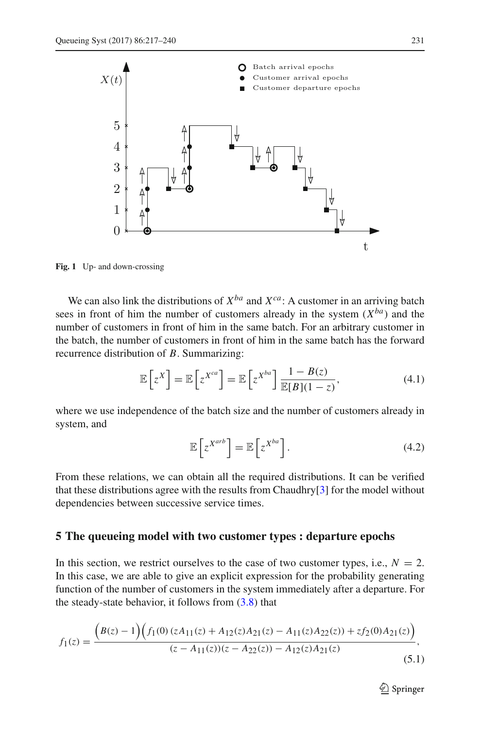

<span id="page-14-1"></span>**Fig. 1** Up- and down-crossing

We can also link the distributions of  $X^{ba}$  and  $X^{ca}$ : A customer in an arriving batch sees in front of him the number of customers already in the system  $(X^{ba})$  and the number of customers in front of him in the same batch. For an arbitrary customer in the batch, the number of customers in front of him in the same batch has the forward recurrence distribution of *B*. Summarizing:

$$
\mathbb{E}\left[z^{X}\right] = \mathbb{E}\left[z^{X^{ca}}\right] = \mathbb{E}\left[z^{X^{ba}}\right] \frac{1 - B(z)}{\mathbb{E}[B](1 - z)},\tag{4.1}
$$

where we use independence of the batch size and the number of customers already in system, and

$$
\mathbb{E}\left[z^{X^{arb}}\right] = \mathbb{E}\left[z^{X^{ba}}\right].\tag{4.2}
$$

From these relations, we can obtain all the required distributions. It can be verified that these distributions agree with the results from Chaudhry[\[3](#page-23-16)] for the model without dependencies between successive service times.

## <span id="page-14-0"></span>**5 The queueing model with two customer types : departure epochs**

In this section, we restrict ourselves to the case of two customer types, i.e.,  $N = 2$ . In this case, we are able to give an explicit expression for the probability generating function of the number of customers in the system immediately after a departure. For the steady-state behavior, it follows from  $(3.8)$  that

$$
f_1(z) = \frac{\left(B(z) - 1\right)\left(f_1(0)\left(zA_{11}(z) + A_{12}(z)A_{21}(z) - A_{11}(z)A_{22}(z)\right) + zf_2(0)A_{21}(z)\right)}{(z - A_{11}(z))(z - A_{22}(z)) - A_{12}(z)A_{21}(z)},\tag{5.1}
$$

<span id="page-14-2"></span> $\mathcal{D}$  Springer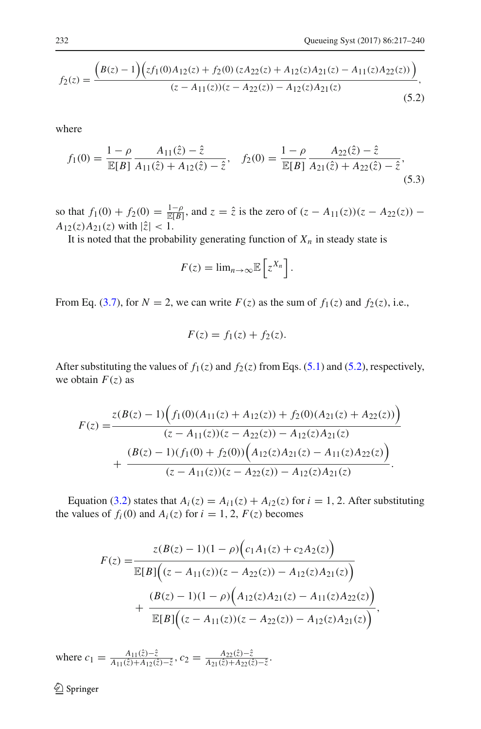$$
f_2(z) = \frac{\left(B(z) - 1\right)\left(zf_1(0)A_{12}(z) + f_2(0)\left(zA_{22}(z) + A_{12}(z)A_{21}(z) - A_{11}(z)A_{22}(z)\right)\right)}{(z - A_{11}(z))(z - A_{22}(z)) - A_{12}(z)A_{21}(z)},\tag{5.2}
$$

where

$$
f_1(0) = \frac{1 - \rho}{\mathbb{E}[B]} \frac{A_{11}(\hat{z}) - \hat{z}}{A_{11}(\hat{z}) + A_{12}(\hat{z}) - \hat{z}}, \quad f_2(0) = \frac{1 - \rho}{\mathbb{E}[B]} \frac{A_{22}(\hat{z}) - \hat{z}}{A_{21}(\hat{z}) + A_{22}(\hat{z}) - \hat{z}},
$$
(5.3)

so that  $f_1(0) + f_2(0) = \frac{1-\rho}{\mathbb{E}[B]}$ , and  $z = \hat{z}$  is the zero of  $(z - A_{11}(z))(z - A_{22}(z))$  –  $A_{12}(z)A_{21}(z)$  with  $|\hat{z}| < 1$ .

It is noted that the probability generating function of  $X_n$  in steady state is

<span id="page-15-0"></span>
$$
F(z) = \lim_{n \to \infty} \mathbb{E}\left[z^{X_n}\right].
$$

From Eq. [\(3.7\)](#page-7-2), for  $N = 2$ , we can write  $F(z)$  as the sum of  $f_1(z)$  and  $f_2(z)$ , i.e.,

$$
F(z) = f_1(z) + f_2(z).
$$

After substituting the values of  $f_1(z)$  and  $f_2(z)$  from Eqs. [\(5.1\)](#page-14-2) and [\(5.2\)](#page-15-0), respectively, we obtain  $F(z)$  as

$$
F(z) = \frac{z(B(z) - 1)\Big(f_1(0)(A_{11}(z) + A_{12}(z)) + f_2(0)(A_{21}(z) + A_{22}(z))\Big)}{(z - A_{11}(z))(z - A_{22}(z)) - A_{12}(z)A_{21}(z)} + \frac{(B(z) - 1)(f_1(0) + f_2(0))\Big(A_{12}(z)A_{21}(z) - A_{11}(z)A_{22}(z)\Big)}{(z - A_{11}(z))(z - A_{22}(z)) - A_{12}(z)A_{21}(z)}.
$$

Equation [\(3.2\)](#page-6-1) states that  $A_i(z) = A_{i1}(z) + A_{i2}(z)$  for  $i = 1, 2$ . After substituting the values of  $f_i(0)$  and  $A_i(z)$  for  $i = 1, 2, F(z)$  becomes

$$
F(z) = \frac{z(B(z) - 1)(1 - \rho)\Big(c_1A_1(z) + c_2A_2(z)\Big)}{\mathbb{E}[B]\Big((z - A_{11}(z))(z - A_{22}(z)) - A_{12}(z)A_{21}(z)\Big)} + \frac{(B(z) - 1)(1 - \rho)\Big(A_{12}(z)A_{21}(z) - A_{11}(z)A_{22}(z)\Big)}{\mathbb{E}[B]\Big((z - A_{11}(z))(z - A_{22}(z)) - A_{12}(z)A_{21}(z)\Big)},
$$

where  $c_1 = \frac{A_{11}(\hat{z}) - \hat{z}}{A_{11}(\hat{z}) + A_{12}(\hat{z}) - \hat{z}}, c_2 = \frac{A_{22}(\hat{z}) - \hat{z}}{A_{21}(\hat{z}) + A_{22}(\hat{z}) - \hat{z}}.$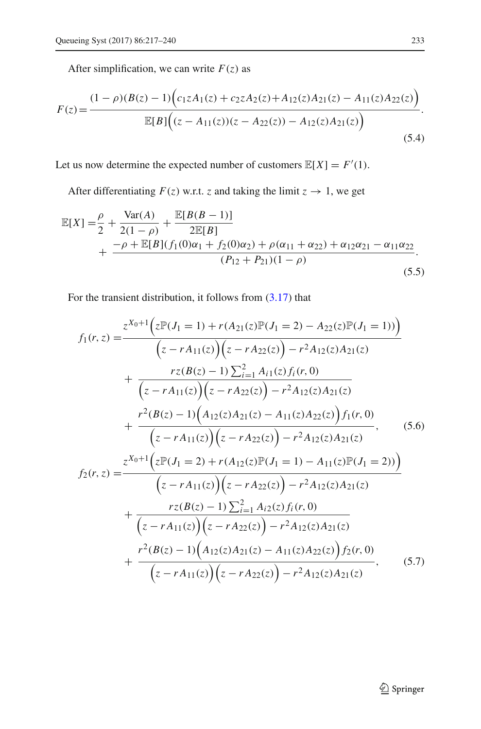After simplification, we can write  $F(z)$  as

$$
F(z) = \frac{(1 - \rho)(B(z) - 1)\left(c_1 z A_1(z) + c_2 z A_2(z) + A_{12}(z) A_{21}(z) - A_{11}(z) A_{22}(z)\right)}{\mathbb{E}[B]\left((z - A_{11}(z))(z - A_{22}(z)) - A_{12}(z) A_{21}(z)\right)}.
$$
\n(5.4)

Let us now determine the expected number of customers  $\mathbb{E}[X] = F'(1)$ .

After differentiating  $F(z)$  w.r.t. *z* and taking the limit  $z \rightarrow 1$ , we get

$$
\mathbb{E}[X] = \frac{\rho}{2} + \frac{\text{Var}(A)}{2(1-\rho)} + \frac{\mathbb{E}[B(B-1)]}{2\mathbb{E}[B]} + \frac{-\rho + \mathbb{E}[B](f_1(0)\alpha_1 + f_2(0)\alpha_2) + \rho(\alpha_{11} + \alpha_{22}) + \alpha_{12}\alpha_{21} - \alpha_{11}\alpha_{22}}{(P_{12} + P_{21})(1-\rho)}.
$$
\n(5.5)

For the transient distribution, it follows from [\(3.17\)](#page-11-1) that

<span id="page-16-0"></span>
$$
f_1(r, z) = \frac{z^{X_0+1} (z\mathbb{P}(J_1 = 1) + r(A_{21}(z)\mathbb{P}(J_1 = 2) - A_{22}(z)\mathbb{P}(J_1 = 1))}{(z - rA_{11}(z))(z - rA_{22}(z)) - r^2A_{12}(z)A_{21}(z)}
$$
  
+ 
$$
\frac{rz(B(z) - 1) \sum_{i=1}^2 A_{i1}(z) f_i(r, 0)}{(z - rA_{11}(z))(z - rA_{22}(z)) - r^2A_{12}(z)A_{21}(z)}
$$
  
+ 
$$
\frac{r^2(B(z) - 1)(A_{12}(z)A_{21}(z) - A_{11}(z)A_{22}(z)) f_1(r, 0)}{(z - rA_{11}(z))(z - rA_{22}(z)) - r^2A_{12}(z)A_{21}(z)},
$$
(5.6)  

$$
f_2(r, z) = \frac{z^{X_0+1} (z\mathbb{P}(J_1 = 2) + r(A_{12}(z)\mathbb{P}(J_1 = 1) - A_{11}(z)\mathbb{P}(J_1 = 2)))}{(z - rA_{11}(z)(z)(z - rA_{22}(z)) - r^2A_{12}(z)A_{21}(z)}
$$
  
+ 
$$
\frac{rz(B(z) - 1) \sum_{i=1}^2 A_{i2}(z) f_i(r, 0)}{(z - rA_{11}(z)(z - rA_{22}(z)) - r^2A_{12}(z)A_{21}(z)}
$$
  
+ 
$$
\frac{r^2(B(z) - 1)(A_{12}(z)A_{21}(z) - A_{11}(z)A_{22}(z)) f_2(r, 0)}{(z - rA_{11}(z)(z - rA_{22}(z)) - r^2A_{12}(z)A_{21}(z)},
$$
(5.7)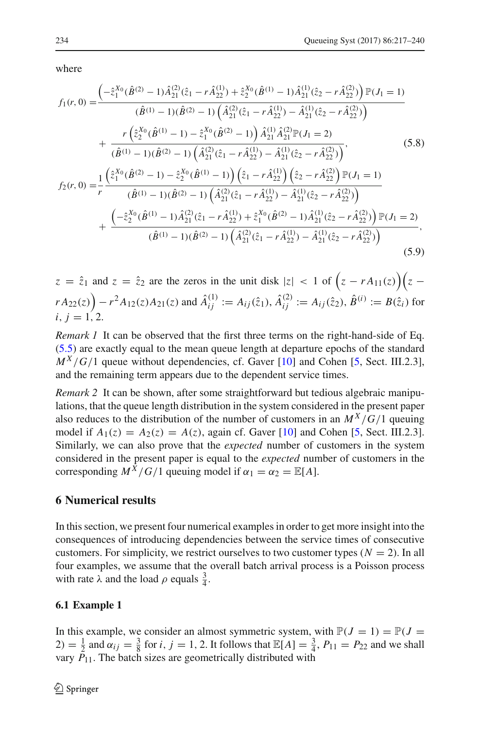where

$$
f_{1}(r,0) = \frac{\left(-\hat{z}_{1}^{X_{0}}(\hat{B}^{(2)} - 1)\hat{A}_{21}^{(2)}(\hat{z}_{1} - r\hat{A}_{22}^{(1)}) + \hat{z}_{2}^{X_{0}}(\hat{B}^{(1)} - 1)\hat{A}_{21}^{(1)}(\hat{z}_{2} - r\hat{A}_{22}^{(2)})\right)\mathbb{P}(J_{1} = 1)}{(\hat{B}^{(1)} - 1)(\hat{B}^{(2)} - 1)\left(\hat{A}_{21}^{(2)}(\hat{z}_{1} - r\hat{A}_{22}^{(1)}) - \hat{A}_{21}^{(1)}(\hat{z}_{2} - r\hat{A}_{22}^{(2)})\right)} + \frac{r\left(\hat{z}_{2}^{X_{0}}(\hat{B}^{(1)} - 1) - \hat{z}_{1}^{X_{0}}(\hat{B}^{(2)} - 1)\right)\hat{A}_{21}^{(1)}\hat{A}_{21}^{(2)}\mathbb{P}(J_{1} = 2)}{(\hat{B}^{(1)} - 1)(\hat{B}^{(2)} - 1)\left(\hat{A}_{21}^{(2)}(\hat{z}_{1} - r\hat{A}_{22}^{(1)}) - \hat{A}_{21}^{(1)}(\hat{z}_{2} - r\hat{A}_{22}^{(2)})\right)},
$$
\n
$$
f_{2}(r,0) = \frac{1}{r}\frac{\left(\hat{z}_{1}^{X_{0}}(\hat{B}^{(2)} - 1) - \hat{z}_{2}^{X_{0}}(\hat{B}^{(1)} - 1)\right)\left(\hat{z}_{1} - r\hat{A}_{22}^{(1)}\right)\left(\hat{z}_{2} - r\hat{A}_{22}^{(2)}\right)\mathbb{P}(J_{1} = 1)}{(\hat{B}^{(1)} - 1)(\hat{B}^{(2)} - 1)\left(\hat{A}_{21}^{(2)}(\hat{z}_{1} - r\hat{A}_{22}^{(1)}) - \hat{A}_{21}^{(1)}(\hat{z}_{2} - r\hat{A}_{22}^{(2)})\right)} + \frac{\left(-\hat{z}_{2}^{X_{0}}(\hat{B}^{(1)} - 1)\hat{A}_{21}^{(2)}(\hat{z}_{1} - r\hat{A}_{22}^{(1)}) + \hat{z}_{1}^{X_{0}}(\hat
$$

 $z = \hat{z}_1$  and  $z = \hat{z}_2$  are the zeros in the unit disk  $|z| < 1$  of  $(z - rA_{11}(z))(z - zA_{21}(z))$  $rA_{22}(z)$   $-r^2A_{12}(z)A_{21}(z)$  and  $\hat{A}_{ij}^{(1)} := A_{ij}(\hat{z}_1), \hat{A}_{ij}^{(2)} := A_{ij}(\hat{z}_2), \hat{B}^{(i)} := B(\hat{z}_i)$  for  $i, i = 1, 2.$ 

*Remark 1* It can be observed that the first three terms on the right-hand-side of Eq. [\(5.5\)](#page-16-0) are exactly equal to the mean queue length at departure epochs of the standard  $M^X/G/1$  queue without dependencies, cf. Gaver [\[10](#page-23-17)] and Cohen [\[5,](#page-23-18) Sect. III.2.3], and the remaining term appears due to the dependent service times.

<span id="page-17-1"></span>*Remark 2* It can be shown, after some straightforward but tedious algebraic manipulations, that the queue length distribution in the system considered in the present paper also reduces to the distribution of the number of customers in an  $M^X/G/1$  queuing model if  $A_1(z) = A_2(z) = A(z)$ , again cf. Gaver [\[10](#page-23-17)] and Cohen [\[5](#page-23-18), Sect. III.2.3]. Similarly, we can also prove that the *expected* number of customers in the system considered in the present paper is equal to the *expected* number of customers in the corresponding  $M^{\overline{X}}/G/1$  queuing model if  $\alpha_1 = \alpha_2 = \mathbb{E}[A]$ .

## <span id="page-17-0"></span>**6 Numerical results**

In this section, we present four numerical examples in order to get more insight into the consequences of introducing dependencies between the service times of consecutive customers. For simplicity, we restrict ourselves to two customer types  $(N = 2)$ . In all four examples, we assume that the overall batch arrival process is a Poisson process with rate  $\lambda$  and the load  $\rho$  equals  $\frac{3}{4}$ .

#### **6.1 Example 1**

In this example, we consider an almost symmetric system, with  $P(J = 1) = P(J = 1)$ 2) =  $\frac{1}{2}$  and  $\alpha_{ij} = \frac{3}{8}$  for *i*, *j* = 1, 2. It follows that  $\mathbb{E}[A] = \frac{3}{4}$ ,  $P_{11} = P_{22}$  and we shall vary  $P_{11}$ . The batch sizes are geometrically distributed with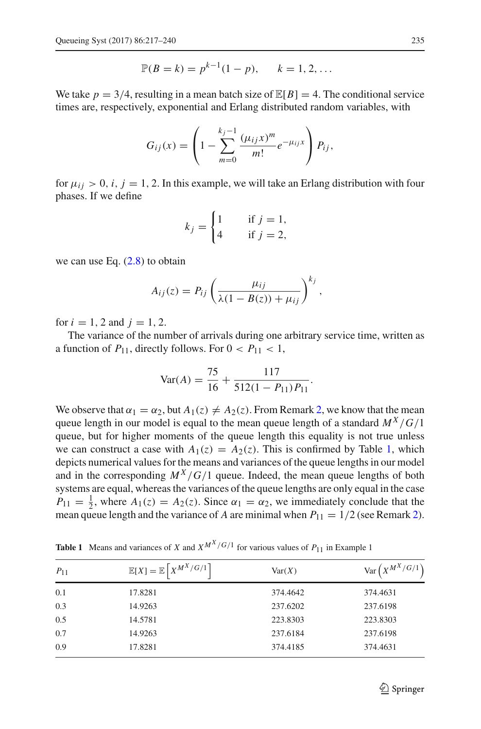$$
\mathbb{P}(B = k) = p^{k-1}(1-p), \qquad k = 1, 2, ...
$$

We take  $p = 3/4$ , resulting in a mean batch size of  $\mathbb{E}[B] = 4$ . The conditional service times are, respectively, exponential and Erlang distributed random variables, with

$$
G_{ij}(x) = \left(1 - \sum_{m=0}^{k_j-1} \frac{(\mu_{ij}x)^m}{m!} e^{-\mu_{ij}x}\right) P_{ij},
$$

for  $\mu_{ij} > 0$ , *i*, *j* = 1, 2. In this example, we will take an Erlang distribution with four phases. If we define

$$
k_j = \begin{cases} 1 & \text{if } j = 1, \\ 4 & \text{if } j = 2, \end{cases}
$$

we can use Eq.  $(2.8)$  to obtain

$$
A_{ij}(z) = P_{ij} \left( \frac{\mu_{ij}}{\lambda(1 - B(z)) + \mu_{ij}} \right)^{k_j},
$$

for  $i = 1, 2$  and  $j = 1, 2$ .

The variance of the number of arrivals during one arbitrary service time, written as a function of  $P_{11}$ , directly follows. For  $0 < P_{11} < 1$ ,

$$
Var(A) = \frac{75}{16} + \frac{117}{512(1 - P_{11})P_{11}}.
$$

We observe that  $\alpha_1 = \alpha_2$ , but  $A_1(z) \neq A_2(z)$ . From Remark [2,](#page-17-1) we know that the mean queue length in our model is equal to the mean queue length of a standard  $M^X/G/1$ queue, but for higher moments of the queue length this equality is not true unless we can construct a case with  $A_1(z) = A_2(z)$ . This is confirmed by Table [1,](#page-18-0) which depicts numerical values for the means and variances of the queue lengths in our model and in the corresponding  $M^X/G/1$  queue. Indeed, the mean queue lengths of both systems are equal, whereas the variances of the queue lengths are only equal in the case  $P_{11} = \frac{1}{2}$ , where  $A_1(z) = A_2(z)$ . Since  $\alpha_1 = \alpha_2$ , we immediately conclude that the mean queue length and the variance of *A* are minimal when  $P_{11} = 1/2$  (see Remark [2\)](#page-17-1).

<span id="page-18-0"></span>

| $P_{11}$ | $\mathbb{E}[X] = \mathbb{E}\left[X^{M^X/G/1}\right]$ | Var(X)   | $\text{Var}\left(X^{M^X/G/1}\right)$ |
|----------|------------------------------------------------------|----------|--------------------------------------|
| 0.1      | 17.8281                                              | 374.4642 | 374.4631                             |
| 0.3      | 14.9263                                              | 237.6202 | 237.6198                             |
| 0.5      | 14.5781                                              | 223.8303 | 223.8303                             |
| 0.7      | 14.9263                                              | 237.6184 | 237.6198                             |
| 0.9      | 17.8281                                              | 374.4185 | 374.4631                             |

**Table 1** Means and variances of *X* and  $X^{M^X/G/1}$  for various values of  $P_{11}$  in Example 1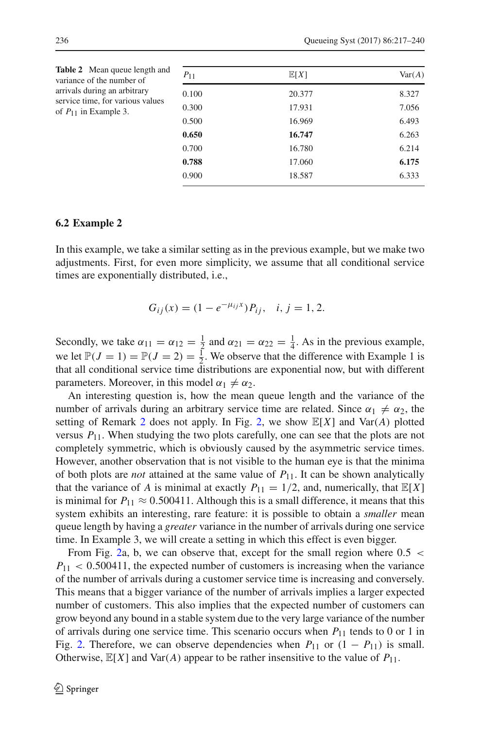<span id="page-19-0"></span>

| <b>Table 2</b> Mean queue length and<br>variance of the number of<br>arrivals during an arbitrary<br>service time, for various values<br>of $P_{11}$ in Example 3. | $P_{11}$       | $\mathbb{E}[X]$  | Var(A)         |
|--------------------------------------------------------------------------------------------------------------------------------------------------------------------|----------------|------------------|----------------|
|                                                                                                                                                                    | 0.100<br>0.300 | 20.377<br>17.931 | 8.327<br>7.056 |
|                                                                                                                                                                    | 0.500          | 16.969           | 6.493          |
|                                                                                                                                                                    | 0.650          | 16.747           | 6.263          |
|                                                                                                                                                                    | 0.700          | 16.780           | 6.214          |
|                                                                                                                                                                    | 0.788          | 17.060           | 6.175          |
|                                                                                                                                                                    | 0.900          | 18.587           | 6.333          |

#### **6.2 Example 2**

In this example, we take a similar setting as in the previous example, but we make two adjustments. First, for even more simplicity, we assume that all conditional service times are exponentially distributed, i.e.,

$$
G_{ij}(x) = (1 - e^{-\mu_{ij}x})P_{ij}, \quad i, j = 1, 2.
$$

Secondly, we take  $\alpha_{11} = \alpha_{12} = \frac{1}{2}$  and  $\alpha_{21} = \alpha_{22} = \frac{1}{4}$ . As in the previous example, we let  $\mathbb{P}(J = 1) = \mathbb{P}(J = 2) = \frac{1}{2}$ . We observe that the difference with Example 1 is that all conditional service time distributions are exponential now, but with different parameters. Moreover, in this model  $\alpha_1 \neq \alpha_2$ .

An interesting question is, how the mean queue length and the variance of the number of arrivals during an arbitrary service time are related. Since  $\alpha_1 \neq \alpha_2$ , the setting of Remark [2](#page-17-1) does not apply. In Fig. [2,](#page-20-0) we show  $\mathbb{E}[X]$  and  $\text{Var}(A)$  plotted versus  $P_{11}$ . When studying the two plots carefully, one can see that the plots are not completely symmetric, which is obviously caused by the asymmetric service times. However, another observation that is not visible to the human eye is that the minima of both plots are *not* attained at the same value of *P*11. It can be shown analytically that the variance of *A* is minimal at exactly  $P_{11} = 1/2$ , and, numerically, that  $\mathbb{E}[X]$ is minimal for  $P_{11} \approx 0.500411$ . Although this is a small difference, it means that this system exhibits an interesting, rare feature: it is possible to obtain a *smaller* mean queue length by having a *greater* variance in the number of arrivals during one service time. In Example 3, we will create a setting in which this effect is even bigger.

From Fig. [2a](#page-20-0), b, we can observe that, except for the small region where 0.5 <  $P_{11}$  < 0.500411, the expected number of customers is increasing when the variance of the number of arrivals during a customer service time is increasing and conversely. This means that a bigger variance of the number of arrivals implies a larger expected number of customers. This also implies that the expected number of customers can grow beyond any bound in a stable system due to the very large variance of the number of arrivals during one service time. This scenario occurs when  $P_{11}$  tends to 0 or 1 in Fig. [2.](#page-20-0) Therefore, we can observe dependencies when  $P_{11}$  or  $(1 - P_{11})$  is small. Otherwise,  $\mathbb{E}[X]$  and  $\text{Var}(A)$  appear to be rather insensitive to the value of  $P_{11}$ .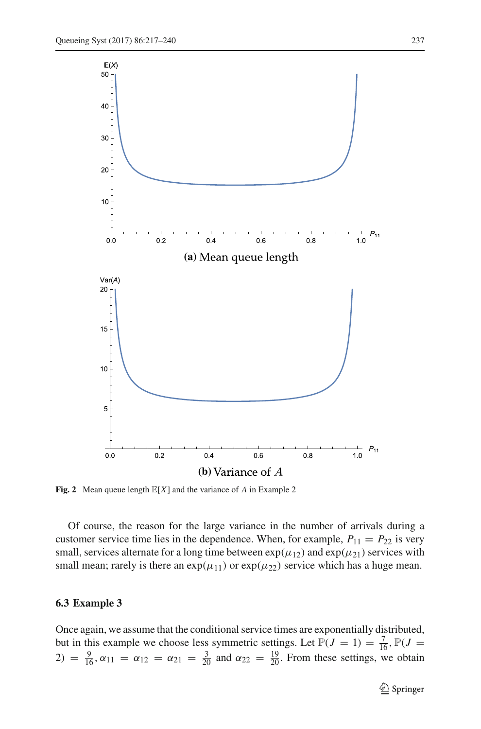

<span id="page-20-0"></span>**Fig. 2** Mean queue length <sup>E</sup>[*X*] and the variance of *<sup>A</sup>* in Example 2

Of course, the reason for the large variance in the number of arrivals during a customer service time lies in the dependence. When, for example,  $P_{11} = P_{22}$  is very small, services alternate for a long time between  $\exp(\mu_{12})$  and  $\exp(\mu_{21})$  services with small mean; rarely is there an  $exp(\mu_{11})$  or  $exp(\mu_{22})$  service which has a huge mean.

#### **6.3 Example 3**

Once again, we assume that the conditional service times are exponentially distributed, but in this example we choose less symmetric settings. Let  $\mathbb{P}(J = 1) = \frac{7}{16}$ ,  $\mathbb{P}(J = 1)$ 2) =  $\frac{9}{16}$ ,  $\alpha_{11} = \alpha_{12} = \alpha_{21} = \frac{3}{20}$  and  $\alpha_{22} = \frac{19}{20}$ . From these settings, we obtain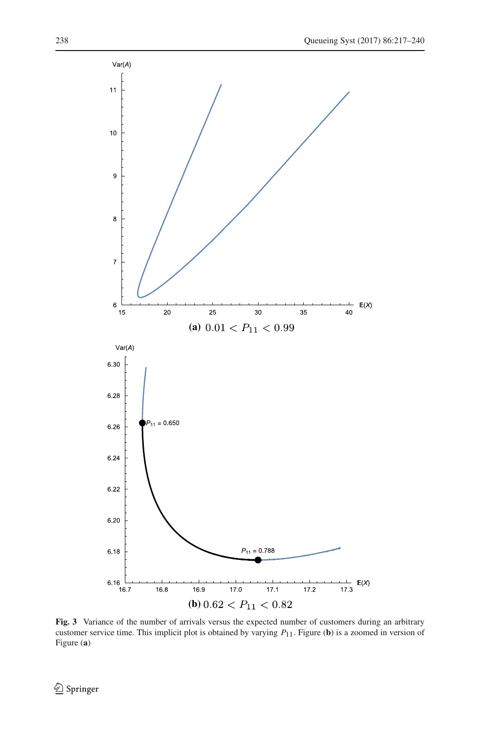

<span id="page-21-0"></span>**Fig. 3** Variance of the number of arrivals versus the expected number of customers during an arbitrary customer service time. This implicit plot is obtained by varying *P*11. Figure (**b**) is a zoomed in version of Figure (**a**)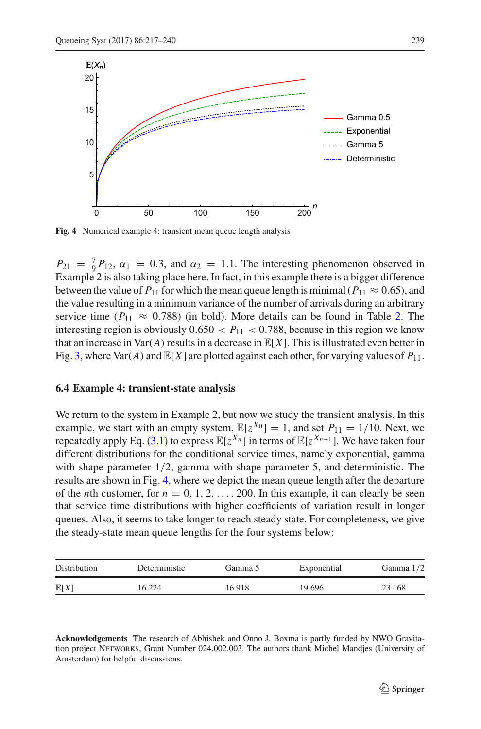

<span id="page-22-0"></span>**Fig. 4** Numerical example 4: transient mean queue length analysis

 $P_{21} = \frac{7}{9}P_{12}$ ,  $\alpha_1 = 0.3$ , and  $\alpha_2 = 1.1$ . The interesting phenomenon observed in Example 2 is also taking place here. In fact, in this example there is a bigger difference between the value of  $P_{11}$  for which the mean queue length is minimal ( $P_{11} \approx 0.65$ ), and the value resulting in a minimum variance of the number of arrivals during an arbitrary service time ( $P_{11} \approx 0.788$ ) (in bold). More details can be found in Table [2.](#page-19-0) The interesting region is obviously  $0.650 < P_{11} < 0.788$ , because in this region we know that an increase in Var $(A)$  results in a decrease in  $\mathbb{E}[X]$ . This is illustrated even better in Fig. [3,](#page-21-0) where Var(A) and  $\mathbb{E}[X]$  are plotted against each other, for varying values of  $P_{11}$ .

#### **6.4 Example 4: transient-state analysis**

We return to the system in Example 2, but now we study the transient analysis. In this example, we start with an empty system,  $\mathbb{E}[z^{X_0}] = 1$ , and set  $P_{11} = 1/10$ . Next, we repeatedly apply Eq. [\(3.1\)](#page-6-0) to express  $\mathbb{E}[z^{X_n}]$  in terms of  $\mathbb{E}[z^{X_{n-1}}]$ . We have taken four different distributions for the conditional service times, namely exponential, gamma with shape parameter  $1/2$ , gamma with shape parameter 5, and deterministic. The results are shown in Fig. [4,](#page-22-0) where we depict the mean queue length after the departure of the *n*th customer, for  $n = 0, 1, 2, \ldots, 200$ . In this example, it can clearly be seen that service time distributions with higher coefficients of variation result in longer queues. Also, it seems to take longer to reach steady state. For completeness, we give the steady-state mean queue lengths for the four systems below:

| Distribution | Deterministic | Gamma 5 | Exponential | Gamma $1/2$ |
|--------------|---------------|---------|-------------|-------------|
| E[X]         | 16.224        | 16.918  | 19.696      | 23.168      |

**Acknowledgements** The research of Abhishek and Onno J. Boxma is partly funded by NWO Gravitation project Networks, Grant Number 024.002.003. The authors thank Michel Mandjes (University of Amsterdam) for helpful discussions.